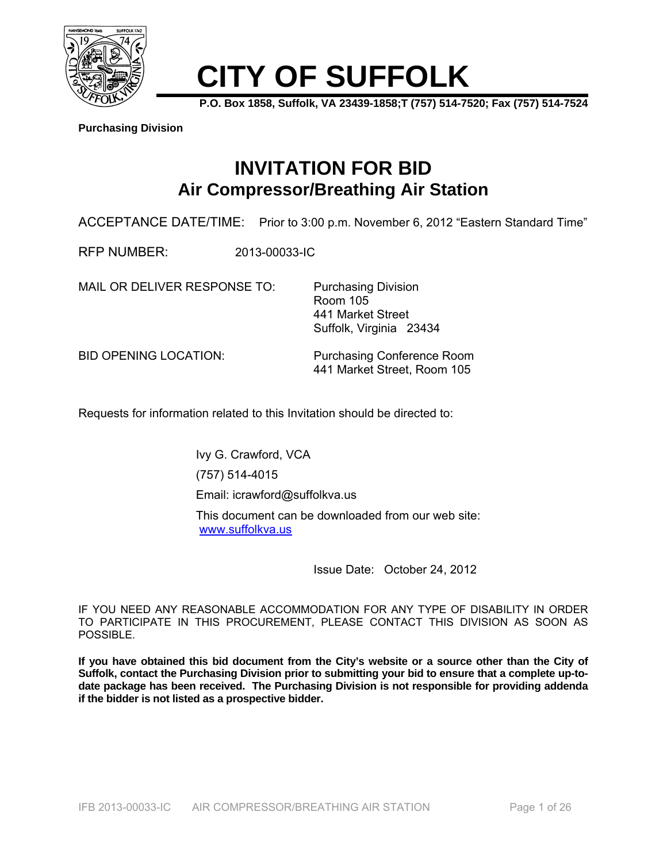

# **CITY OF SUFFOLK**

**P.O. Box 1858, Suffolk, VA 23439-1858;T (757) 514-7520; Fax (757) 514-7524** 

**Purchasing Division**

# **INVITATION FOR BID Air Compressor/Breathing Air Station**

ACCEPTANCE DATE/TIME: Prior to 3:00 p.m. November 6, 2012 "Eastern Standard Time"

RFP NUMBER: 2013-00033-IC

MAIL OR DELIVER RESPONSE TO: Purchasing Division

 Room 105 441 Market Street Suffolk, Virginia 23434

BID OPENING LOCATION: Purchasing Conference Room 441 Market Street, Room 105

Requests for information related to this Invitation should be directed to:

Ivy G. Crawford, VCA (757) 514-4015 Email: icrawford@suffolkva.us This document can be downloaded from our web site: www.suffolkva.us

Issue Date: October 24, 2012

IF YOU NEED ANY REASONABLE ACCOMMODATION FOR ANY TYPE OF DISABILITY IN ORDER TO PARTICIPATE IN THIS PROCUREMENT, PLEASE CONTACT THIS DIVISION AS SOON AS POSSIBLE.

**If you have obtained this bid document from the City's website or a source other than the City of Suffolk, contact the Purchasing Division prior to submitting your bid to ensure that a complete up-todate package has been received. The Purchasing Division is not responsible for providing addenda if the bidder is not listed as a prospective bidder.**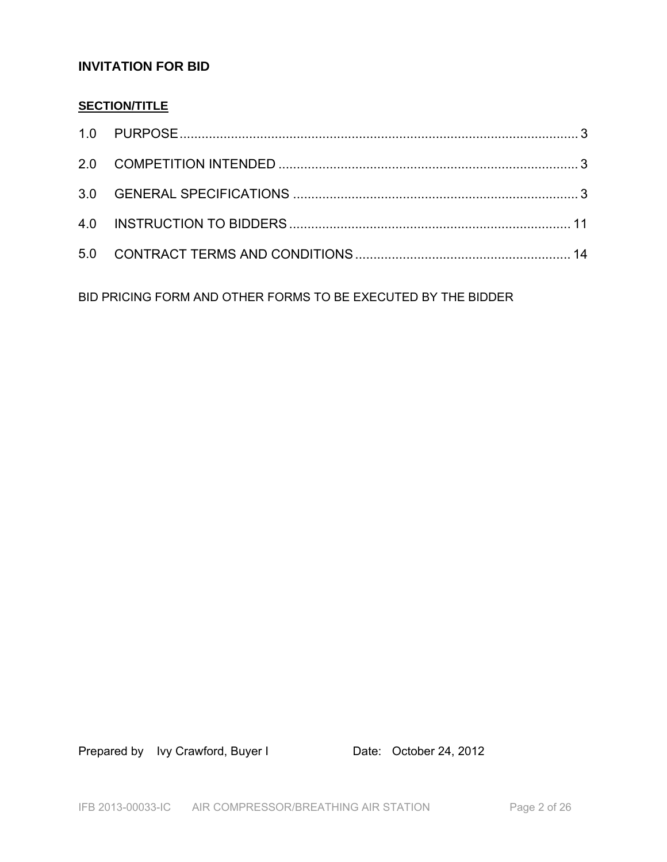## **INVITATION FOR BID**

## **SECTION/TITLE**

BID PRICING FORM AND OTHER FORMS TO BE EXECUTED BY THE BIDDER

Prepared by Ivy Crawford, Buyer I Date: October 24, 2012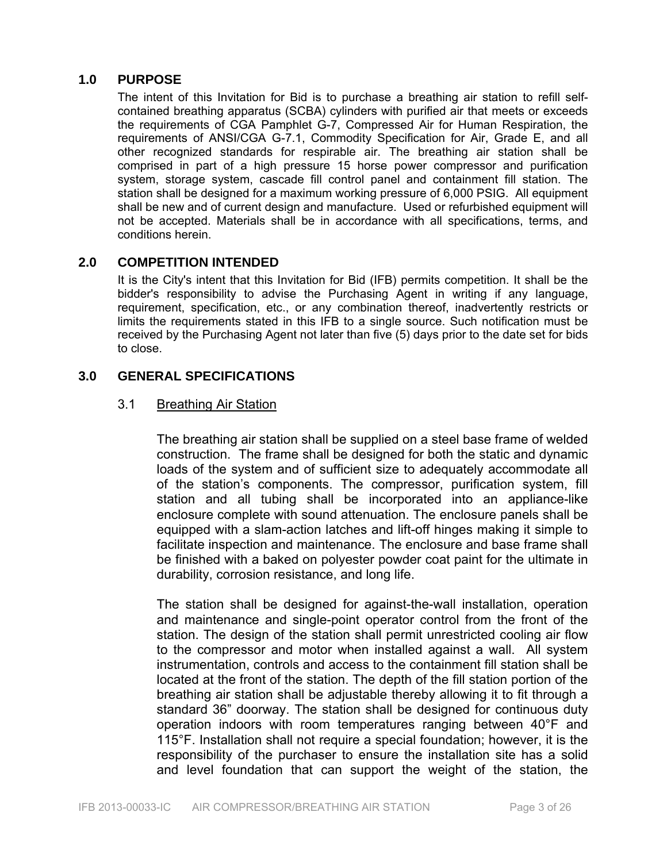#### **1.0 PURPOSE**

The intent of this Invitation for Bid is to purchase a breathing air station to refill selfcontained breathing apparatus (SCBA) cylinders with purified air that meets or exceeds the requirements of CGA Pamphlet G-7, Compressed Air for Human Respiration, the requirements of ANSI/CGA G-7.1, Commodity Specification for Air, Grade E, and all other recognized standards for respirable air. The breathing air station shall be comprised in part of a high pressure 15 horse power compressor and purification system, storage system, cascade fill control panel and containment fill station. The station shall be designed for a maximum working pressure of 6,000 PSIG. All equipment shall be new and of current design and manufacture. Used or refurbished equipment will not be accepted. Materials shall be in accordance with all specifications, terms, and conditions herein.

#### **2.0 COMPETITION INTENDED**

It is the City's intent that this Invitation for Bid (IFB) permits competition. It shall be the bidder's responsibility to advise the Purchasing Agent in writing if any language, requirement, specification, etc., or any combination thereof, inadvertently restricts or limits the requirements stated in this IFB to a single source. Such notification must be received by the Purchasing Agent not later than five (5) days prior to the date set for bids to close.

#### **3.0 GENERAL SPECIFICATIONS**

#### 3.1 Breathing Air Station

The breathing air station shall be supplied on a steel base frame of welded construction. The frame shall be designed for both the static and dynamic loads of the system and of sufficient size to adequately accommodate all of the station's components. The compressor, purification system, fill station and all tubing shall be incorporated into an appliance-like enclosure complete with sound attenuation. The enclosure panels shall be equipped with a slam-action latches and lift-off hinges making it simple to facilitate inspection and maintenance. The enclosure and base frame shall be finished with a baked on polyester powder coat paint for the ultimate in durability, corrosion resistance, and long life.

The station shall be designed for against-the-wall installation, operation and maintenance and single-point operator control from the front of the station. The design of the station shall permit unrestricted cooling air flow to the compressor and motor when installed against a wall. All system instrumentation, controls and access to the containment fill station shall be located at the front of the station. The depth of the fill station portion of the breathing air station shall be adjustable thereby allowing it to fit through a standard 36" doorway. The station shall be designed for continuous duty operation indoors with room temperatures ranging between 40°F and 115°F. Installation shall not require a special foundation; however, it is the responsibility of the purchaser to ensure the installation site has a solid and level foundation that can support the weight of the station, the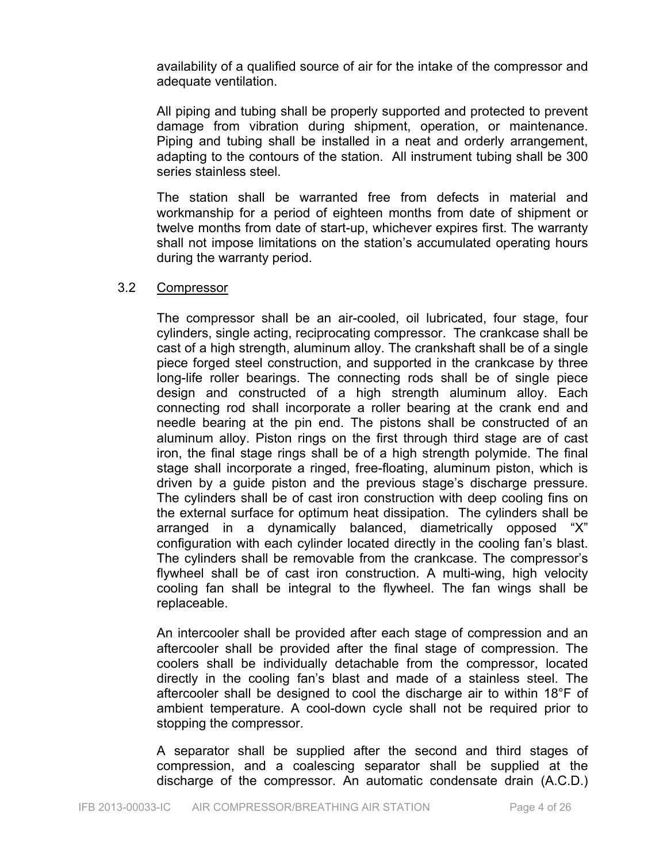availability of a qualified source of air for the intake of the compressor and adequate ventilation.

All piping and tubing shall be properly supported and protected to prevent damage from vibration during shipment, operation, or maintenance. Piping and tubing shall be installed in a neat and orderly arrangement, adapting to the contours of the station. All instrument tubing shall be 300 series stainless steel.

The station shall be warranted free from defects in material and workmanship for a period of eighteen months from date of shipment or twelve months from date of start-up, whichever expires first. The warranty shall not impose limitations on the station's accumulated operating hours during the warranty period.

#### 3.2 Compressor

The compressor shall be an air-cooled, oil lubricated, four stage, four cylinders, single acting, reciprocating compressor. The crankcase shall be cast of a high strength, aluminum alloy. The crankshaft shall be of a single piece forged steel construction, and supported in the crankcase by three long-life roller bearings. The connecting rods shall be of single piece design and constructed of a high strength aluminum alloy. Each connecting rod shall incorporate a roller bearing at the crank end and needle bearing at the pin end. The pistons shall be constructed of an aluminum alloy. Piston rings on the first through third stage are of cast iron, the final stage rings shall be of a high strength polymide. The final stage shall incorporate a ringed, free-floating, aluminum piston, which is driven by a guide piston and the previous stage's discharge pressure. The cylinders shall be of cast iron construction with deep cooling fins on the external surface for optimum heat dissipation. The cylinders shall be arranged in a dynamically balanced, diametrically opposed "X" configuration with each cylinder located directly in the cooling fan's blast. The cylinders shall be removable from the crankcase. The compressor's flywheel shall be of cast iron construction. A multi-wing, high velocity cooling fan shall be integral to the flywheel. The fan wings shall be replaceable.

An intercooler shall be provided after each stage of compression and an aftercooler shall be provided after the final stage of compression. The coolers shall be individually detachable from the compressor, located directly in the cooling fan's blast and made of a stainless steel. The aftercooler shall be designed to cool the discharge air to within 18°F of ambient temperature. A cool-down cycle shall not be required prior to stopping the compressor.

A separator shall be supplied after the second and third stages of compression, and a coalescing separator shall be supplied at the discharge of the compressor. An automatic condensate drain (A.C.D.)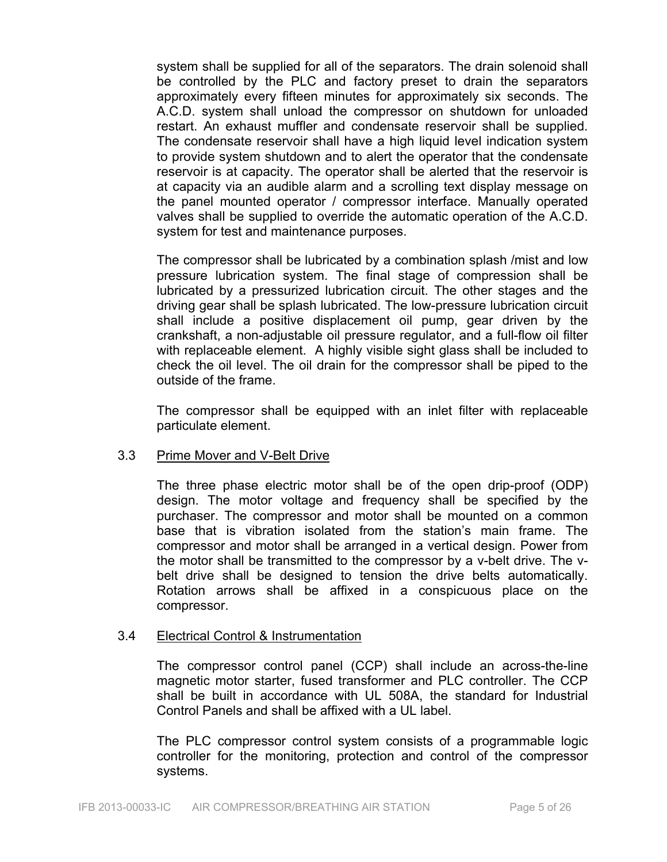system shall be supplied for all of the separators. The drain solenoid shall be controlled by the PLC and factory preset to drain the separators approximately every fifteen minutes for approximately six seconds. The A.C.D. system shall unload the compressor on shutdown for unloaded restart. An exhaust muffler and condensate reservoir shall be supplied. The condensate reservoir shall have a high liquid level indication system to provide system shutdown and to alert the operator that the condensate reservoir is at capacity. The operator shall be alerted that the reservoir is at capacity via an audible alarm and a scrolling text display message on the panel mounted operator / compressor interface. Manually operated valves shall be supplied to override the automatic operation of the A.C.D. system for test and maintenance purposes.

The compressor shall be lubricated by a combination splash /mist and low pressure lubrication system. The final stage of compression shall be lubricated by a pressurized lubrication circuit. The other stages and the driving gear shall be splash lubricated. The low-pressure lubrication circuit shall include a positive displacement oil pump, gear driven by the crankshaft, a non-adjustable oil pressure regulator, and a full-flow oil filter with replaceable element. A highly visible sight glass shall be included to check the oil level. The oil drain for the compressor shall be piped to the outside of the frame.

The compressor shall be equipped with an inlet filter with replaceable particulate element.

#### 3.3 Prime Mover and V-Belt Drive

The three phase electric motor shall be of the open drip-proof (ODP) design. The motor voltage and frequency shall be specified by the purchaser. The compressor and motor shall be mounted on a common base that is vibration isolated from the station's main frame. The compressor and motor shall be arranged in a vertical design. Power from the motor shall be transmitted to the compressor by a v-belt drive. The vbelt drive shall be designed to tension the drive belts automatically. Rotation arrows shall be affixed in a conspicuous place on the compressor.

#### 3.4 Electrical Control & Instrumentation

The compressor control panel (CCP) shall include an across-the-line magnetic motor starter, fused transformer and PLC controller. The CCP shall be built in accordance with UL 508A, the standard for Industrial Control Panels and shall be affixed with a UL label.

The PLC compressor control system consists of a programmable logic controller for the monitoring, protection and control of the compressor systems.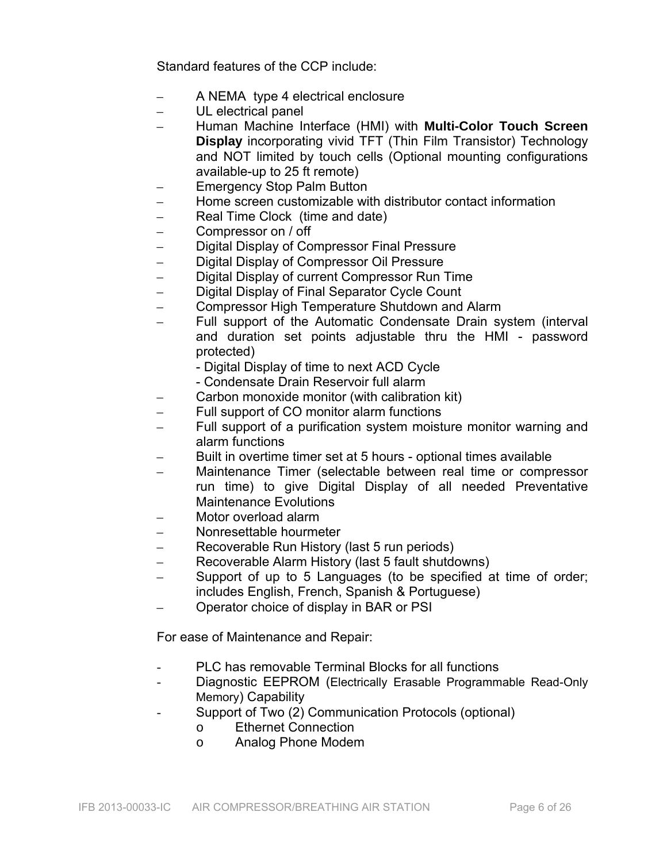Standard features of the CCP include:

- A NEMA type 4 electrical enclosure
- UL electrical panel
- Human Machine Interface (HMI) with **Multi-Color Touch Screen Display** incorporating vivid TFT (Thin Film Transistor) Technology and NOT limited by touch cells (Optional mounting configurations available-up to 25 ft remote)
- Emergency Stop Palm Button
- Home screen customizable with distributor contact information
- Real Time Clock (time and date)
- Compressor on / off
- Digital Display of Compressor Final Pressure
- Digital Display of Compressor Oil Pressure
- Digital Display of current Compressor Run Time
- Digital Display of Final Separator Cycle Count
- Compressor High Temperature Shutdown and Alarm
- Full support of the Automatic Condensate Drain system (interval and duration set points adjustable thru the HMI - password protected)
	- Digital Display of time to next ACD Cycle
	- Condensate Drain Reservoir full alarm
- Carbon monoxide monitor (with calibration kit)
- Full support of CO monitor alarm functions
- Full support of a purification system moisture monitor warning and alarm functions
- Built in overtime timer set at 5 hours optional times available
- Maintenance Timer (selectable between real time or compressor run time) to give Digital Display of all needed Preventative Maintenance Evolutions
- Motor overload alarm
- Nonresettable hourmeter
- Recoverable Run History (last 5 run periods)
- Recoverable Alarm History (last 5 fault shutdowns)
- Support of up to 5 Languages (to be specified at time of order; includes English, French, Spanish & Portuguese)
- Operator choice of display in BAR or PSI

For ease of Maintenance and Repair:

- PLC has removable Terminal Blocks for all functions
- Diagnostic EEPROM (Electrically Erasable Programmable Read-Only Memory) Capability
- Support of Two (2) Communication Protocols (optional)
	- o Ethernet Connection
	- o Analog Phone Modem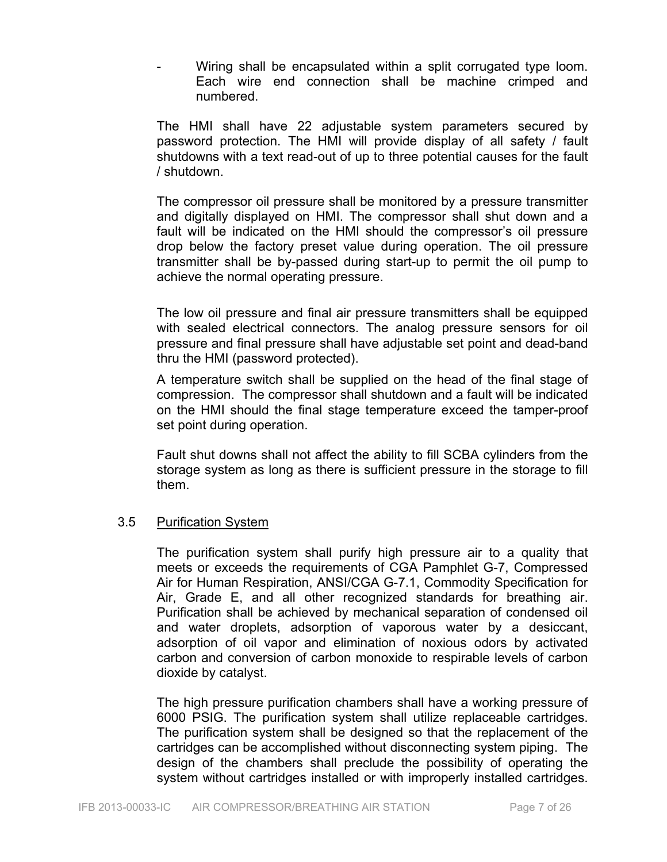Wiring shall be encapsulated within a split corrugated type loom. Each wire end connection shall be machine crimped and numbered.

The HMI shall have 22 adjustable system parameters secured by password protection. The HMI will provide display of all safety / fault shutdowns with a text read-out of up to three potential causes for the fault / shutdown.

The compressor oil pressure shall be monitored by a pressure transmitter and digitally displayed on HMI. The compressor shall shut down and a fault will be indicated on the HMI should the compressor's oil pressure drop below the factory preset value during operation. The oil pressure transmitter shall be by-passed during start-up to permit the oil pump to achieve the normal operating pressure.

The low oil pressure and final air pressure transmitters shall be equipped with sealed electrical connectors. The analog pressure sensors for oil pressure and final pressure shall have adjustable set point and dead-band thru the HMI (password protected).

A temperature switch shall be supplied on the head of the final stage of compression. The compressor shall shutdown and a fault will be indicated on the HMI should the final stage temperature exceed the tamper-proof set point during operation.

Fault shut downs shall not affect the ability to fill SCBA cylinders from the storage system as long as there is sufficient pressure in the storage to fill them.

#### 3.5 Purification System

The purification system shall purify high pressure air to a quality that meets or exceeds the requirements of CGA Pamphlet G-7, Compressed Air for Human Respiration, ANSI/CGA G-7.1, Commodity Specification for Air, Grade E, and all other recognized standards for breathing air. Purification shall be achieved by mechanical separation of condensed oil and water droplets, adsorption of vaporous water by a desiccant, adsorption of oil vapor and elimination of noxious odors by activated carbon and conversion of carbon monoxide to respirable levels of carbon dioxide by catalyst.

The high pressure purification chambers shall have a working pressure of 6000 PSIG. The purification system shall utilize replaceable cartridges. The purification system shall be designed so that the replacement of the cartridges can be accomplished without disconnecting system piping. The design of the chambers shall preclude the possibility of operating the system without cartridges installed or with improperly installed cartridges.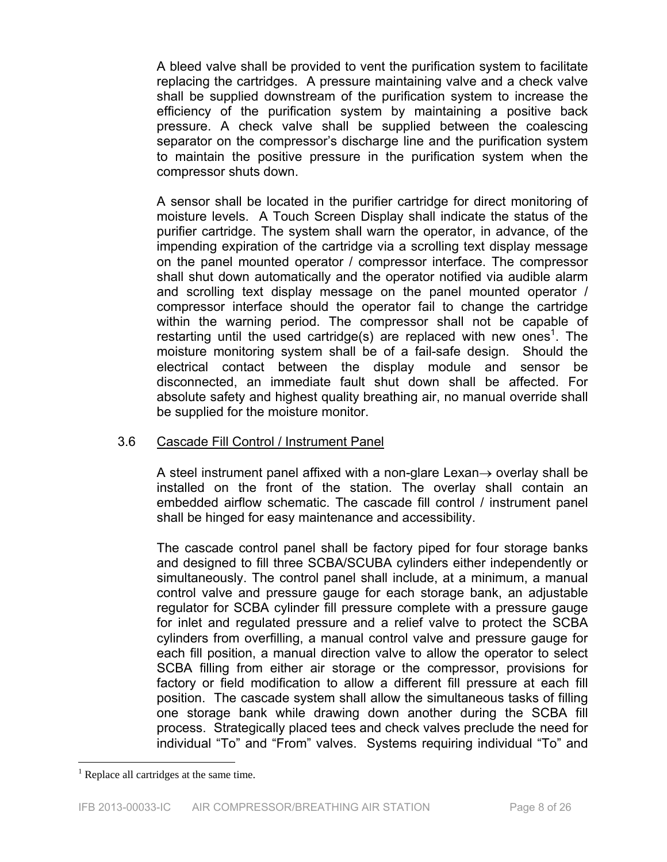A bleed valve shall be provided to vent the purification system to facilitate replacing the cartridges. A pressure maintaining valve and a check valve shall be supplied downstream of the purification system to increase the efficiency of the purification system by maintaining a positive back pressure. A check valve shall be supplied between the coalescing separator on the compressor's discharge line and the purification system to maintain the positive pressure in the purification system when the compressor shuts down.

A sensor shall be located in the purifier cartridge for direct monitoring of moisture levels. A Touch Screen Display shall indicate the status of the purifier cartridge. The system shall warn the operator, in advance, of the impending expiration of the cartridge via a scrolling text display message on the panel mounted operator / compressor interface. The compressor shall shut down automatically and the operator notified via audible alarm and scrolling text display message on the panel mounted operator / compressor interface should the operator fail to change the cartridge within the warning period. The compressor shall not be capable of restarting until the used cartridge(s) are replaced with new ones<sup>1</sup>. The moisture monitoring system shall be of a fail-safe design. Should the electrical contact between the display module and sensor be disconnected, an immediate fault shut down shall be affected. For absolute safety and highest quality breathing air, no manual override shall be supplied for the moisture monitor.

#### 3.6 Cascade Fill Control / Instrument Panel

A steel instrument panel affixed with a non-glare Lexan $\rightarrow$  overlay shall be installed on the front of the station. The overlay shall contain an embedded airflow schematic. The cascade fill control / instrument panel shall be hinged for easy maintenance and accessibility.

The cascade control panel shall be factory piped for four storage banks and designed to fill three SCBA/SCUBA cylinders either independently or simultaneously. The control panel shall include, at a minimum, a manual control valve and pressure gauge for each storage bank, an adjustable regulator for SCBA cylinder fill pressure complete with a pressure gauge for inlet and regulated pressure and a relief valve to protect the SCBA cylinders from overfilling, a manual control valve and pressure gauge for each fill position, a manual direction valve to allow the operator to select SCBA filling from either air storage or the compressor, provisions for factory or field modification to allow a different fill pressure at each fill position. The cascade system shall allow the simultaneous tasks of filling one storage bank while drawing down another during the SCBA fill process. Strategically placed tees and check valves preclude the need for individual "To" and "From" valves. Systems requiring individual "To" and

 $\overline{a}$ 

<sup>&</sup>lt;sup>1</sup> Replace all cartridges at the same time.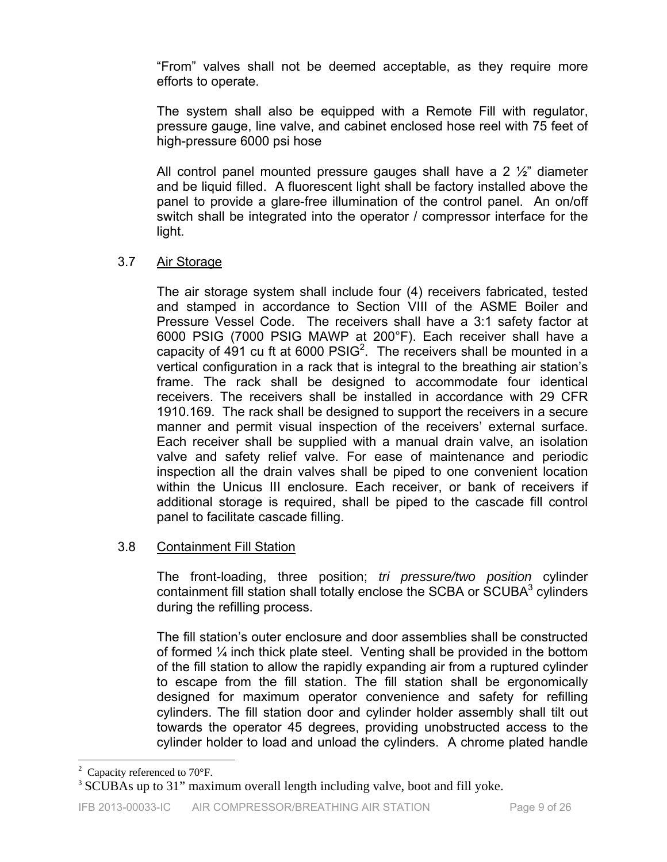"From" valves shall not be deemed acceptable, as they require more efforts to operate.

The system shall also be equipped with a Remote Fill with regulator, pressure gauge, line valve, and cabinet enclosed hose reel with 75 feet of high-pressure 6000 psi hose

All control panel mounted pressure gauges shall have a 2  $\frac{1}{2}$  diameter and be liquid filled. A fluorescent light shall be factory installed above the panel to provide a glare-free illumination of the control panel. An on/off switch shall be integrated into the operator / compressor interface for the light.

#### 3.7 Air Storage

The air storage system shall include four (4) receivers fabricated, tested and stamped in accordance to Section VIII of the ASME Boiler and Pressure Vessel Code. The receivers shall have a 3:1 safety factor at 6000 PSIG (7000 PSIG MAWP at 200°F). Each receiver shall have a capacity of 491 cu ft at 6000  $PSIG<sup>2</sup>$ . The receivers shall be mounted in a vertical configuration in a rack that is integral to the breathing air station's frame. The rack shall be designed to accommodate four identical receivers. The receivers shall be installed in accordance with 29 CFR 1910.169. The rack shall be designed to support the receivers in a secure manner and permit visual inspection of the receivers' external surface. Each receiver shall be supplied with a manual drain valve, an isolation valve and safety relief valve. For ease of maintenance and periodic inspection all the drain valves shall be piped to one convenient location within the Unicus III enclosure. Each receiver, or bank of receivers if additional storage is required, shall be piped to the cascade fill control panel to facilitate cascade filling.

## 3.8 Containment Fill Station

The front-loading, three position; *tri pressure/two position* cylinder containment fill station shall totally enclose the SCBA or SCUBA $3$  cylinders during the refilling process.

The fill station's outer enclosure and door assemblies shall be constructed of formed ¼ inch thick plate steel. Venting shall be provided in the bottom of the fill station to allow the rapidly expanding air from a ruptured cylinder to escape from the fill station. The fill station shall be ergonomically designed for maximum operator convenience and safety for refilling cylinders. The fill station door and cylinder holder assembly shall tilt out towards the operator 45 degrees, providing unobstructed access to the cylinder holder to load and unload the cylinders. A chrome plated handle

 $\overline{a}$ <sup>2</sup> Capacity referenced to 70 $\mathrm{^{\circ}F}$ .

<sup>&</sup>lt;sup>3</sup> SCUBAs up to 31" maximum overall length including valve, boot and fill yoke.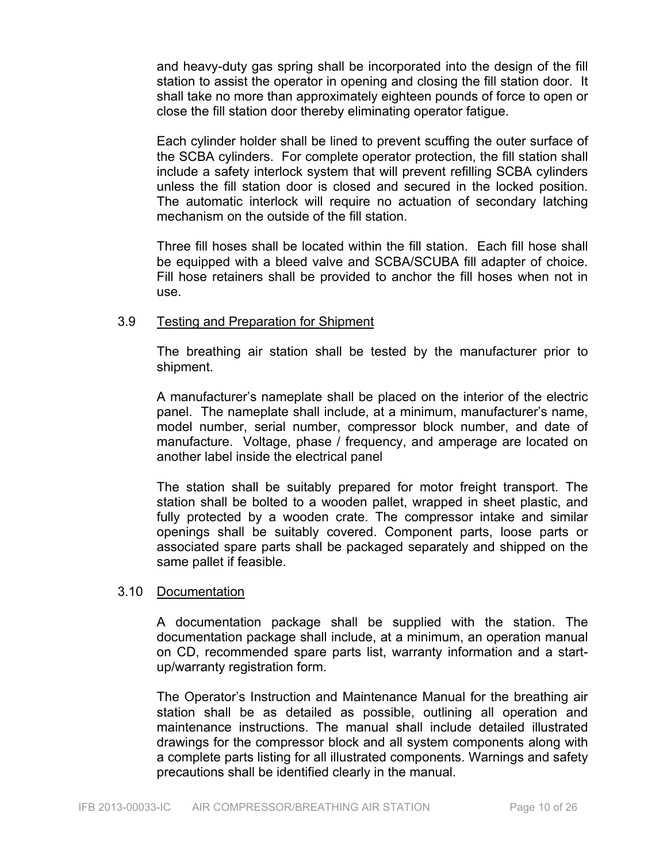and heavy-duty gas spring shall be incorporated into the design of the fill station to assist the operator in opening and closing the fill station door. It shall take no more than approximately eighteen pounds of force to open or close the fill station door thereby eliminating operator fatigue.

Each cylinder holder shall be lined to prevent scuffing the outer surface of the SCBA cylinders. For complete operator protection, the fill station shall include a safety interlock system that will prevent refilling SCBA cylinders unless the fill station door is closed and secured in the locked position. The automatic interlock will require no actuation of secondary latching mechanism on the outside of the fill station.

Three fill hoses shall be located within the fill station. Each fill hose shall be equipped with a bleed valve and SCBA/SCUBA fill adapter of choice. Fill hose retainers shall be provided to anchor the fill hoses when not in use.

#### 3.9 Testing and Preparation for Shipment

The breathing air station shall be tested by the manufacturer prior to shipment.

A manufacturer's nameplate shall be placed on the interior of the electric panel. The nameplate shall include, at a minimum, manufacturer's name, model number, serial number, compressor block number, and date of manufacture. Voltage, phase / frequency, and amperage are located on another label inside the electrical panel

The station shall be suitably prepared for motor freight transport. The station shall be bolted to a wooden pallet, wrapped in sheet plastic, and fully protected by a wooden crate. The compressor intake and similar openings shall be suitably covered. Component parts, loose parts or associated spare parts shall be packaged separately and shipped on the same pallet if feasible.

#### 3.10 Documentation

A documentation package shall be supplied with the station. The documentation package shall include, at a minimum, an operation manual on CD, recommended spare parts list, warranty information and a startup/warranty registration form.

The Operator's Instruction and Maintenance Manual for the breathing air station shall be as detailed as possible, outlining all operation and maintenance instructions. The manual shall include detailed illustrated drawings for the compressor block and all system components along with a complete parts listing for all illustrated components. Warnings and safety precautions shall be identified clearly in the manual.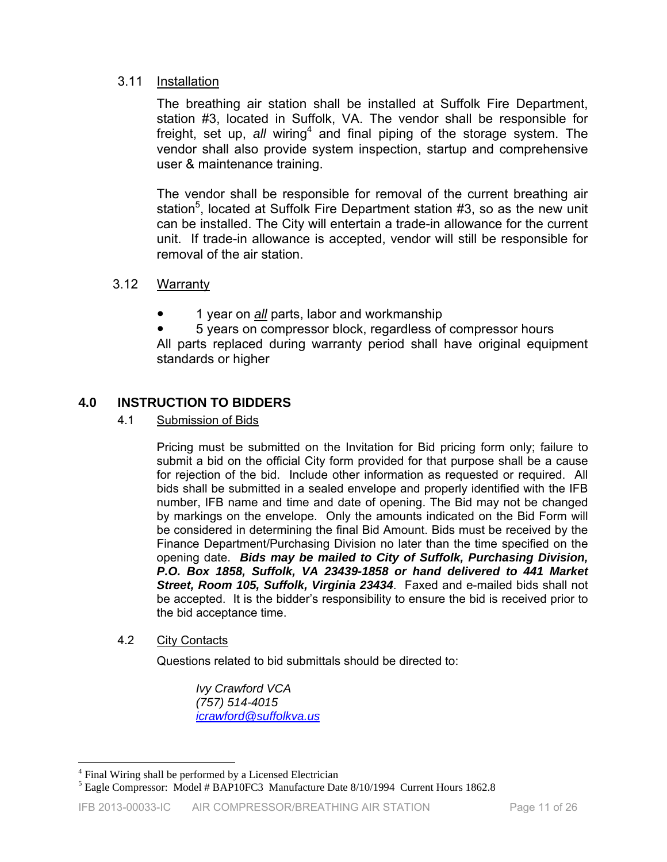#### 3.11 Installation

The breathing air station shall be installed at Suffolk Fire Department, station #3, located in Suffolk, VA. The vendor shall be responsible for freight, set up, all wiring<sup>4</sup> and final piping of the storage system. The vendor shall also provide system inspection, startup and comprehensive user & maintenance training.

The vendor shall be responsible for removal of the current breathing air station<sup>5</sup>, located at Suffolk Fire Department station #3, so as the new unit can be installed. The City will entertain a trade-in allowance for the current unit. If trade-in allowance is accepted, vendor will still be responsible for removal of the air station.

#### 3.12 Warranty

y 1 year on *all* parts, labor and workmanship

5 years on compressor block, regardless of compressor hours All parts replaced during warranty period shall have original equipment standards or higher

#### **4.0 INSTRUCTION TO BIDDERS**

4.1 Submission of Bids

Pricing must be submitted on the Invitation for Bid pricing form only; failure to submit a bid on the official City form provided for that purpose shall be a cause for rejection of the bid. Include other information as requested or required. All bids shall be submitted in a sealed envelope and properly identified with the IFB number, IFB name and time and date of opening. The Bid may not be changed by markings on the envelope. Only the amounts indicated on the Bid Form will be considered in determining the final Bid Amount. Bids must be received by the Finance Department/Purchasing Division no later than the time specified on the opening date. *Bids may be mailed to City of Suffolk, Purchasing Division, P.O. Box 1858, Suffolk, VA 23439-1858 or hand delivered to 441 Market Street, Room 105, Suffolk, Virginia 23434*. Faxed and e-mailed bids shall not be accepted. It is the bidder's responsibility to ensure the bid is received prior to the bid acceptance time.

4.2 City Contacts

 $\overline{a}$ 

Questions related to bid submittals should be directed to:

 *Ivy Crawford VCA (757) 514-4015 icrawford@suffolkva.us*

<sup>&</sup>lt;sup>4</sup> Final Wiring shall be performed by a Licensed Electrician

<sup>&</sup>lt;sup>5</sup> Eagle Compressor: Model # BAP10FC3 Manufacture Date 8/10/1994 Current Hours 1862.8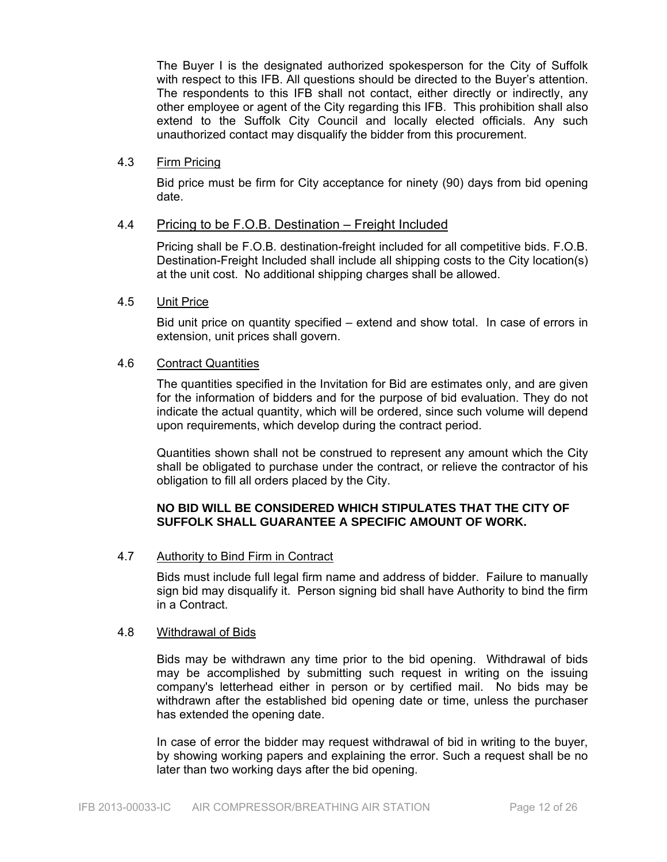The Buyer I is the designated authorized spokesperson for the City of Suffolk with respect to this IFB. All questions should be directed to the Buyer's attention. The respondents to this IFB shall not contact, either directly or indirectly, any other employee or agent of the City regarding this IFB. This prohibition shall also extend to the Suffolk City Council and locally elected officials. Any such unauthorized contact may disqualify the bidder from this procurement.

#### 4.3 Firm Pricing

Bid price must be firm for City acceptance for ninety (90) days from bid opening date.

#### 4.4 Pricing to be F.O.B. Destination – Freight Included

Pricing shall be F.O.B. destination-freight included for all competitive bids. F.O.B. Destination-Freight Included shall include all shipping costs to the City location(s) at the unit cost. No additional shipping charges shall be allowed.

#### 4.5 Unit Price

Bid unit price on quantity specified – extend and show total. In case of errors in extension, unit prices shall govern.

#### 4.6 Contract Quantities

The quantities specified in the Invitation for Bid are estimates only, and are given for the information of bidders and for the purpose of bid evaluation. They do not indicate the actual quantity, which will be ordered, since such volume will depend upon requirements, which develop during the contract period.

Quantities shown shall not be construed to represent any amount which the City shall be obligated to purchase under the contract, or relieve the contractor of his obligation to fill all orders placed by the City.

#### **NO BID WILL BE CONSIDERED WHICH STIPULATES THAT THE CITY OF SUFFOLK SHALL GUARANTEE A SPECIFIC AMOUNT OF WORK.**

#### 4.7 Authority to Bind Firm in Contract

Bids must include full legal firm name and address of bidder. Failure to manually sign bid may disqualify it. Person signing bid shall have Authority to bind the firm in a Contract.

#### 4.8 Withdrawal of Bids

Bids may be withdrawn any time prior to the bid opening. Withdrawal of bids may be accomplished by submitting such request in writing on the issuing company's letterhead either in person or by certified mail. No bids may be withdrawn after the established bid opening date or time, unless the purchaser has extended the opening date.

In case of error the bidder may request withdrawal of bid in writing to the buyer, by showing working papers and explaining the error. Such a request shall be no later than two working days after the bid opening.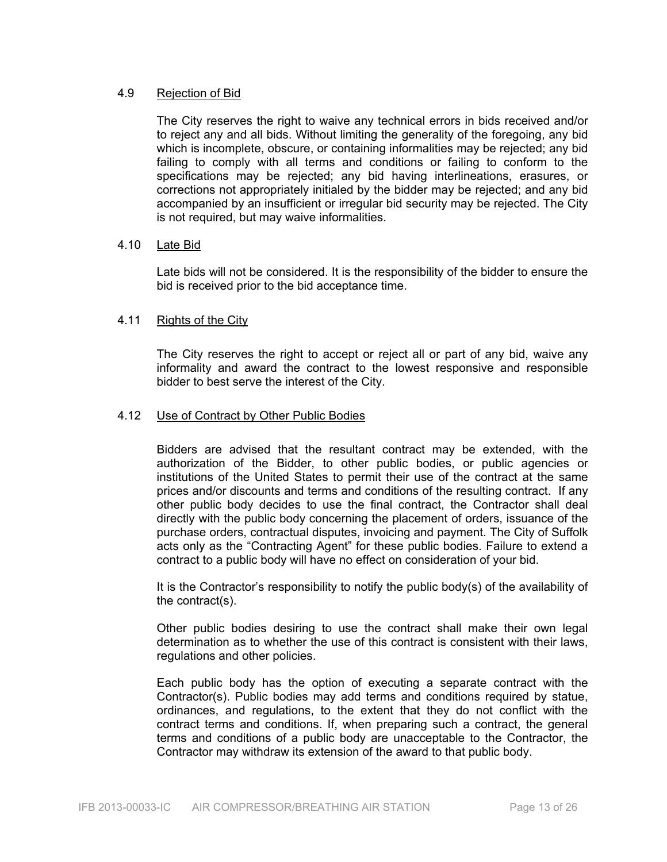#### 4.9 Rejection of Bid

The City reserves the right to waive any technical errors in bids received and/or to reject any and all bids. Without limiting the generality of the foregoing, any bid which is incomplete, obscure, or containing informalities may be rejected; any bid failing to comply with all terms and conditions or failing to conform to the specifications may be rejected; any bid having interlineations, erasures, or corrections not appropriately initialed by the bidder may be rejected; and any bid accompanied by an insufficient or irregular bid security may be rejected. The City is not required, but may waive informalities.

#### 4.10 Late Bid

Late bids will not be considered. It is the responsibility of the bidder to ensure the bid is received prior to the bid acceptance time.

#### 4.11 Rights of the City

The City reserves the right to accept or reject all or part of any bid, waive any informality and award the contract to the lowest responsive and responsible bidder to best serve the interest of the City.

#### 4.12 Use of Contract by Other Public Bodies

Bidders are advised that the resultant contract may be extended, with the authorization of the Bidder, to other public bodies, or public agencies or institutions of the United States to permit their use of the contract at the same prices and/or discounts and terms and conditions of the resulting contract. If any other public body decides to use the final contract, the Contractor shall deal directly with the public body concerning the placement of orders, issuance of the purchase orders, contractual disputes, invoicing and payment. The City of Suffolk acts only as the "Contracting Agent" for these public bodies. Failure to extend a contract to a public body will have no effect on consideration of your bid.

It is the Contractor's responsibility to notify the public body(s) of the availability of the contract(s).

Other public bodies desiring to use the contract shall make their own legal determination as to whether the use of this contract is consistent with their laws, regulations and other policies.

Each public body has the option of executing a separate contract with the Contractor(s). Public bodies may add terms and conditions required by statue, ordinances, and regulations, to the extent that they do not conflict with the contract terms and conditions. If, when preparing such a contract, the general terms and conditions of a public body are unacceptable to the Contractor, the Contractor may withdraw its extension of the award to that public body.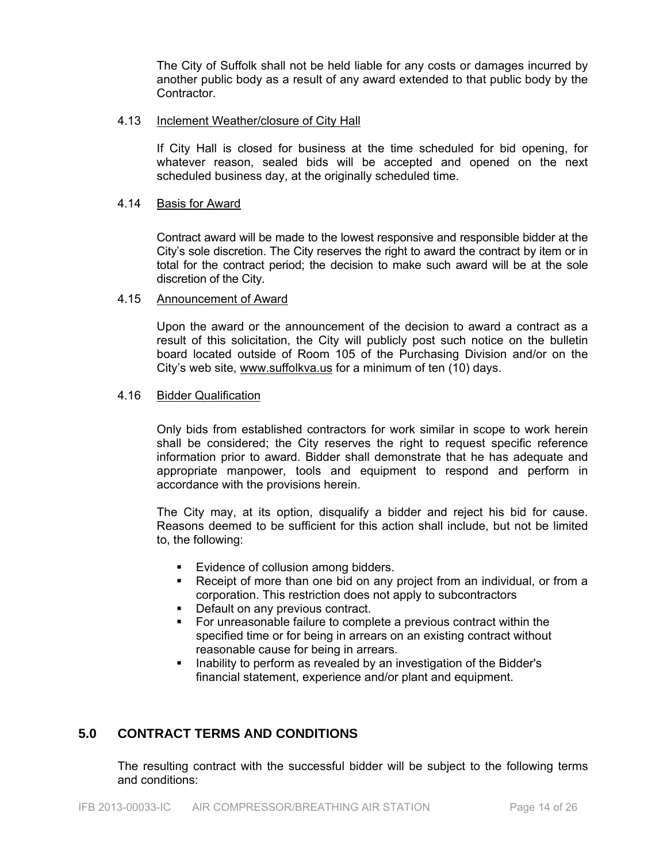The City of Suffolk shall not be held liable for any costs or damages incurred by another public body as a result of any award extended to that public body by the **Contractor** 

#### 4.13 Inclement Weather/closure of City Hall

If City Hall is closed for business at the time scheduled for bid opening, for whatever reason, sealed bids will be accepted and opened on the next scheduled business day, at the originally scheduled time.

#### 4.14 Basis for Award

Contract award will be made to the lowest responsive and responsible bidder at the City's sole discretion. The City reserves the right to award the contract by item or in total for the contract period; the decision to make such award will be at the sole discretion of the City.

#### 4.15 Announcement of Award

Upon the award or the announcement of the decision to award a contract as a result of this solicitation, the City will publicly post such notice on the bulletin board located outside of Room 105 of the Purchasing Division and/or on the City's web site, www.suffolkva.us for a minimum of ten (10) days.

#### 4.16 Bidder Qualification

Only bids from established contractors for work similar in scope to work herein shall be considered; the City reserves the right to request specific reference information prior to award. Bidder shall demonstrate that he has adequate and appropriate manpower, tools and equipment to respond and perform in accordance with the provisions herein.

The City may, at its option, disqualify a bidder and reject his bid for cause. Reasons deemed to be sufficient for this action shall include, but not be limited to, the following:

- Evidence of collusion among bidders.
- Receipt of more than one bid on any project from an individual, or from a corporation. This restriction does not apply to subcontractors
- Default on any previous contract.
- For unreasonable failure to complete a previous contract within the specified time or for being in arrears on an existing contract without reasonable cause for being in arrears.
- Inability to perform as revealed by an investigation of the Bidder's financial statement, experience and/or plant and equipment.

#### **5.0 CONTRACT TERMS AND CONDITIONS**

The resulting contract with the successful bidder will be subject to the following terms and conditions: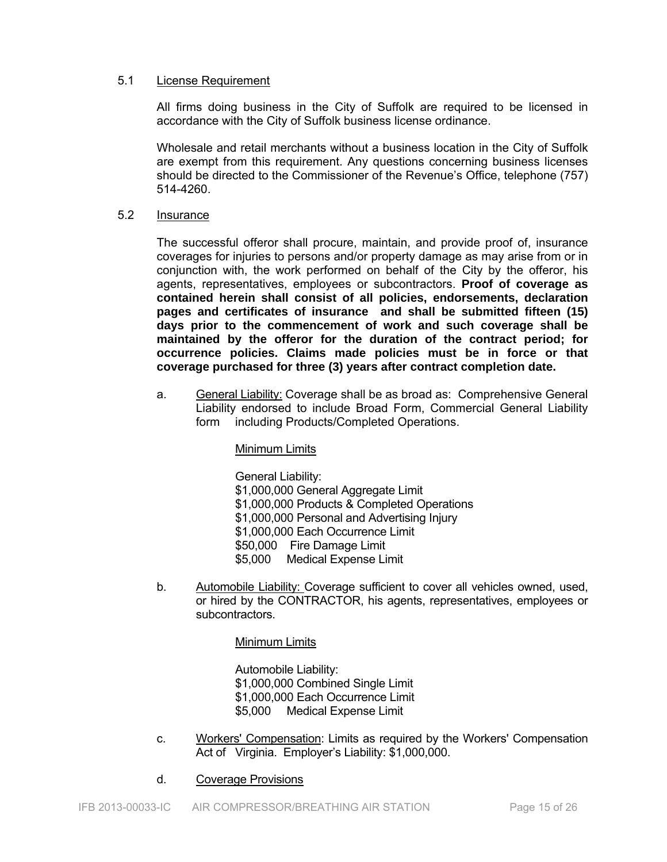#### 5.1 License Requirement

All firms doing business in the City of Suffolk are required to be licensed in accordance with the City of Suffolk business license ordinance.

Wholesale and retail merchants without a business location in the City of Suffolk are exempt from this requirement. Any questions concerning business licenses should be directed to the Commissioner of the Revenue's Office, telephone (757) 514-4260.

#### 5.2 Insurance

The successful offeror shall procure, maintain, and provide proof of, insurance coverages for injuries to persons and/or property damage as may arise from or in conjunction with, the work performed on behalf of the City by the offeror, his agents, representatives, employees or subcontractors. **Proof of coverage as contained herein shall consist of all policies, endorsements, declaration pages and certificates of insurance and shall be submitted fifteen (15) days prior to the commencement of work and such coverage shall be maintained by the offeror for the duration of the contract period; for occurrence policies. Claims made policies must be in force or that coverage purchased for three (3) years after contract completion date.** 

a. General Liability: Coverage shall be as broad as: Comprehensive General Liability endorsed to include Broad Form, Commercial General Liability form including Products/Completed Operations.

#### Minimum Limits

 General Liability: \$1,000,000 General Aggregate Limit \$1,000,000 Products & Completed Operations \$1,000,000 Personal and Advertising Injury \$1,000,000 Each Occurrence Limit \$50,000 Fire Damage Limit \$5,000 Medical Expense Limit

b. Automobile Liability: Coverage sufficient to cover all vehicles owned, used, or hired by the CONTRACTOR, his agents, representatives, employees or subcontractors.

#### Minimum Limits

 Automobile Liability: \$1,000,000 Combined Single Limit \$1,000,000 Each Occurrence Limit \$5,000 Medical Expense Limit

- c. Workers' Compensation: Limits as required by the Workers' Compensation Act of Virginia. Employer's Liability: \$1,000,000.
- d. Coverage Provisions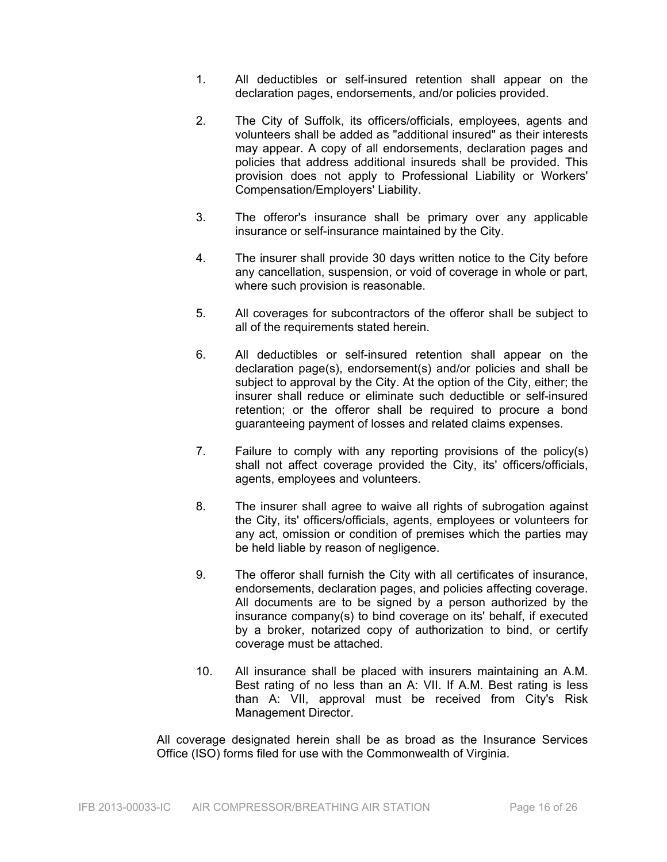- 1. All deductibles or self-insured retention shall appear on the declaration pages, endorsements, and/or policies provided.
- 2. The City of Suffolk, its officers/officials, employees, agents and volunteers shall be added as "additional insured" as their interests may appear. A copy of all endorsements, declaration pages and policies that address additional insureds shall be provided. This provision does not apply to Professional Liability or Workers' Compensation/Employers' Liability.
- 3. The offeror's insurance shall be primary over any applicable insurance or self-insurance maintained by the City.
- 4. The insurer shall provide 30 days written notice to the City before any cancellation, suspension, or void of coverage in whole or part, where such provision is reasonable.
- 5. All coverages for subcontractors of the offeror shall be subject to all of the requirements stated herein.
- 6. All deductibles or self-insured retention shall appear on the declaration page(s), endorsement(s) and/or policies and shall be subject to approval by the City. At the option of the City, either; the insurer shall reduce or eliminate such deductible or self-insured retention; or the offeror shall be required to procure a bond guaranteeing payment of losses and related claims expenses.
- 7. Failure to comply with any reporting provisions of the policy(s) shall not affect coverage provided the City, its' officers/officials, agents, employees and volunteers.
- 8. The insurer shall agree to waive all rights of subrogation against the City, its' officers/officials, agents, employees or volunteers for any act, omission or condition of premises which the parties may be held liable by reason of negligence.
- 9. The offeror shall furnish the City with all certificates of insurance, endorsements, declaration pages, and policies affecting coverage. All documents are to be signed by a person authorized by the insurance company(s) to bind coverage on its' behalf, if executed by a broker, notarized copy of authorization to bind, or certify coverage must be attached.
- 10. All insurance shall be placed with insurers maintaining an A.M. Best rating of no less than an A: VII. If A.M. Best rating is less than A: VII, approval must be received from City's Risk Management Director.

All coverage designated herein shall be as broad as the Insurance Services Office (ISO) forms filed for use with the Commonwealth of Virginia.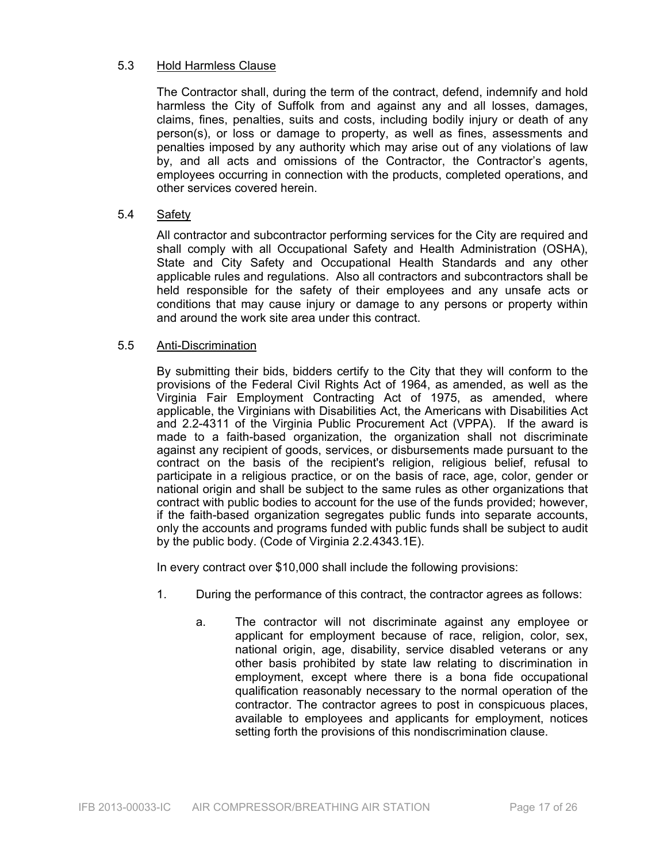#### 5.3 Hold Harmless Clause

The Contractor shall, during the term of the contract, defend, indemnify and hold harmless the City of Suffolk from and against any and all losses, damages, claims, fines, penalties, suits and costs, including bodily injury or death of any person(s), or loss or damage to property, as well as fines, assessments and penalties imposed by any authority which may arise out of any violations of law by, and all acts and omissions of the Contractor, the Contractor's agents, employees occurring in connection with the products, completed operations, and other services covered herein.

#### 5.4 Safety

All contractor and subcontractor performing services for the City are required and shall comply with all Occupational Safety and Health Administration (OSHA), State and City Safety and Occupational Health Standards and any other applicable rules and regulations. Also all contractors and subcontractors shall be held responsible for the safety of their employees and any unsafe acts or conditions that may cause injury or damage to any persons or property within and around the work site area under this contract.

#### 5.5 Anti-Discrimination

By submitting their bids, bidders certify to the City that they will conform to the provisions of the Federal Civil Rights Act of 1964, as amended, as well as the Virginia Fair Employment Contracting Act of 1975, as amended, where applicable, the Virginians with Disabilities Act, the Americans with Disabilities Act and 2.2-4311 of the Virginia Public Procurement Act (VPPA). If the award is made to a faith-based organization, the organization shall not discriminate against any recipient of goods, services, or disbursements made pursuant to the contract on the basis of the recipient's religion, religious belief, refusal to participate in a religious practice, or on the basis of race, age, color, gender or national origin and shall be subject to the same rules as other organizations that contract with public bodies to account for the use of the funds provided; however, if the faith-based organization segregates public funds into separate accounts, only the accounts and programs funded with public funds shall be subject to audit by the public body. (Code of Virginia 2.2.4343.1E).

In every contract over \$10,000 shall include the following provisions:

- 1. During the performance of this contract, the contractor agrees as follows:
	- a. The contractor will not discriminate against any employee or applicant for employment because of race, religion, color, sex, national origin, age, disability, service disabled veterans or any other basis prohibited by state law relating to discrimination in employment, except where there is a bona fide occupational qualification reasonably necessary to the normal operation of the contractor. The contractor agrees to post in conspicuous places, available to employees and applicants for employment, notices setting forth the provisions of this nondiscrimination clause.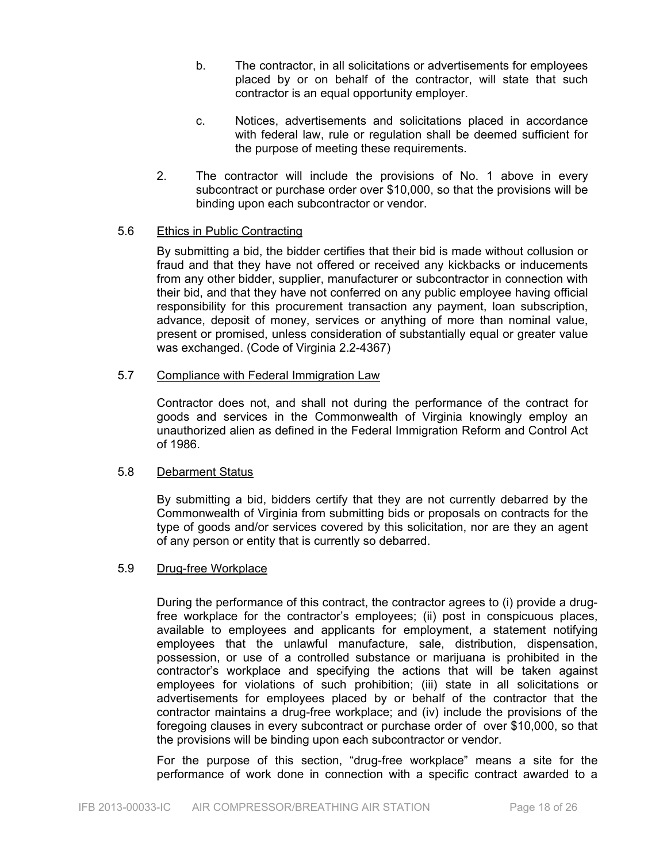- b. The contractor, in all solicitations or advertisements for employees placed by or on behalf of the contractor, will state that such contractor is an equal opportunity employer.
- c. Notices, advertisements and solicitations placed in accordance with federal law, rule or regulation shall be deemed sufficient for the purpose of meeting these requirements.
- 2. The contractor will include the provisions of No. 1 above in every subcontract or purchase order over \$10,000, so that the provisions will be binding upon each subcontractor or vendor.

#### 5.6 Ethics in Public Contracting

By submitting a bid, the bidder certifies that their bid is made without collusion or fraud and that they have not offered or received any kickbacks or inducements from any other bidder, supplier, manufacturer or subcontractor in connection with their bid, and that they have not conferred on any public employee having official responsibility for this procurement transaction any payment, loan subscription, advance, deposit of money, services or anything of more than nominal value, present or promised, unless consideration of substantially equal or greater value was exchanged. (Code of Virginia 2.2-4367)

#### 5.7 Compliance with Federal Immigration Law

Contractor does not, and shall not during the performance of the contract for goods and services in the Commonwealth of Virginia knowingly employ an unauthorized alien as defined in the Federal Immigration Reform and Control Act of 1986.

#### 5.8 Debarment Status

By submitting a bid, bidders certify that they are not currently debarred by the Commonwealth of Virginia from submitting bids or proposals on contracts for the type of goods and/or services covered by this solicitation, nor are they an agent of any person or entity that is currently so debarred.

#### 5.9 Drug-free Workplace

During the performance of this contract, the contractor agrees to (i) provide a drugfree workplace for the contractor's employees; (ii) post in conspicuous places, available to employees and applicants for employment, a statement notifying employees that the unlawful manufacture, sale, distribution, dispensation, possession, or use of a controlled substance or marijuana is prohibited in the contractor's workplace and specifying the actions that will be taken against employees for violations of such prohibition; (iii) state in all solicitations or advertisements for employees placed by or behalf of the contractor that the contractor maintains a drug-free workplace; and (iv) include the provisions of the foregoing clauses in every subcontract or purchase order of over \$10,000, so that the provisions will be binding upon each subcontractor or vendor.

For the purpose of this section, "drug-free workplace" means a site for the performance of work done in connection with a specific contract awarded to a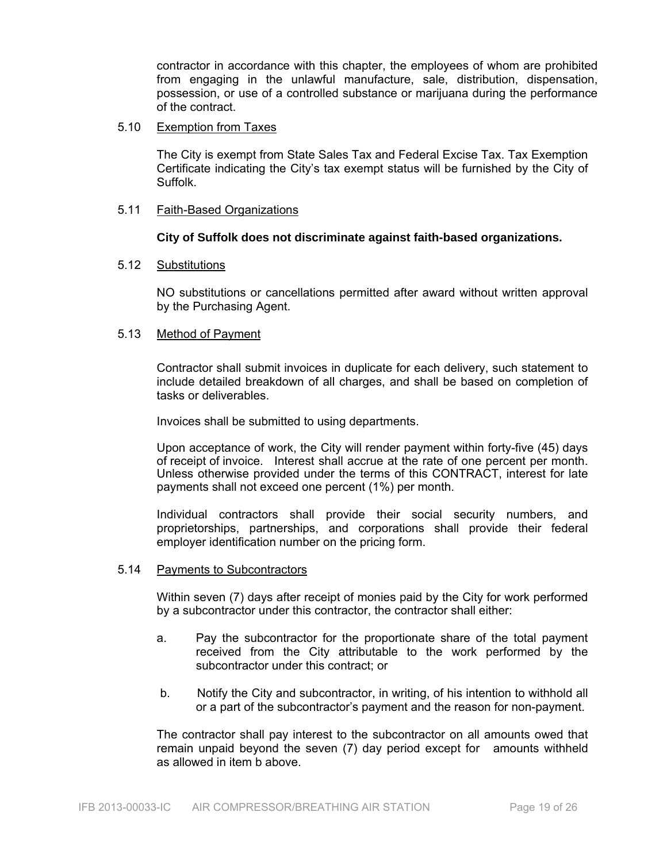contractor in accordance with this chapter, the employees of whom are prohibited from engaging in the unlawful manufacture, sale, distribution, dispensation, possession, or use of a controlled substance or marijuana during the performance of the contract.

#### 5.10 Exemption from Taxes

The City is exempt from State Sales Tax and Federal Excise Tax. Tax Exemption Certificate indicating the City's tax exempt status will be furnished by the City of Suffolk.

#### 5.11 Faith-Based Organizations

#### **City of Suffolk does not discriminate against faith-based organizations.**

#### 5.12 Substitutions

NO substitutions or cancellations permitted after award without written approval by the Purchasing Agent.

#### 5.13 Method of Payment

Contractor shall submit invoices in duplicate for each delivery, such statement to include detailed breakdown of all charges, and shall be based on completion of tasks or deliverables.

Invoices shall be submitted to using departments.

Upon acceptance of work, the City will render payment within forty-five (45) days of receipt of invoice. Interest shall accrue at the rate of one percent per month. Unless otherwise provided under the terms of this CONTRACT, interest for late payments shall not exceed one percent (1%) per month.

Individual contractors shall provide their social security numbers, and proprietorships, partnerships, and corporations shall provide their federal employer identification number on the pricing form.

#### 5.14 Payments to Subcontractors

Within seven (7) days after receipt of monies paid by the City for work performed by a subcontractor under this contractor, the contractor shall either:

- a. Pay the subcontractor for the proportionate share of the total payment received from the City attributable to the work performed by the subcontractor under this contract; or
- b. Notify the City and subcontractor, in writing, of his intention to withhold all or a part of the subcontractor's payment and the reason for non-payment.

The contractor shall pay interest to the subcontractor on all amounts owed that remain unpaid beyond the seven (7) day period except for amounts withheld as allowed in item b above.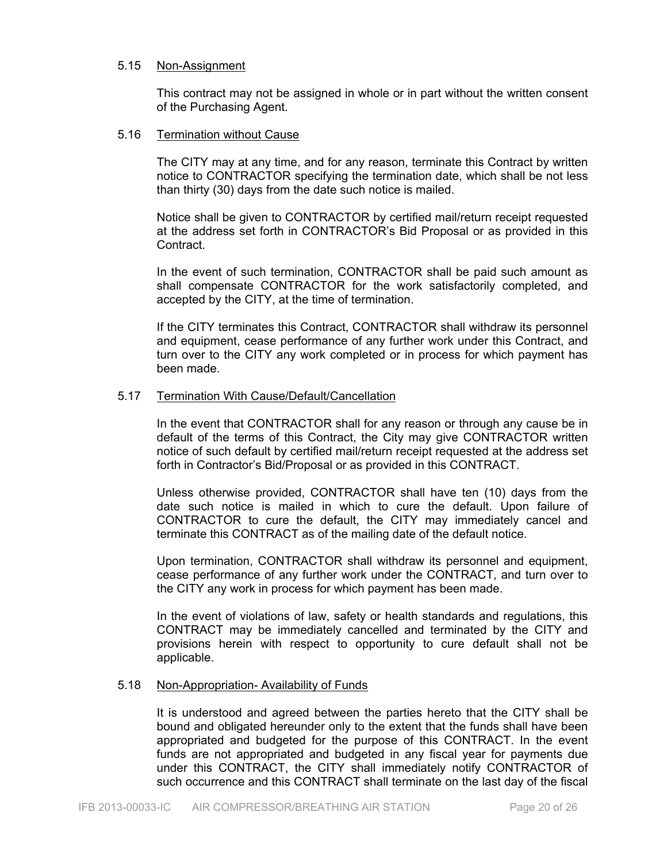#### 5.15 Non-Assignment

This contract may not be assigned in whole or in part without the written consent of the Purchasing Agent.

#### 5.16 Termination without Cause

The CITY may at any time, and for any reason, terminate this Contract by written notice to CONTRACTOR specifying the termination date, which shall be not less than thirty (30) days from the date such notice is mailed.

Notice shall be given to CONTRACTOR by certified mail/return receipt requested at the address set forth in CONTRACTOR's Bid Proposal or as provided in this Contract.

In the event of such termination, CONTRACTOR shall be paid such amount as shall compensate CONTRACTOR for the work satisfactorily completed, and accepted by the CITY, at the time of termination.

If the CITY terminates this Contract, CONTRACTOR shall withdraw its personnel and equipment, cease performance of any further work under this Contract, and turn over to the CITY any work completed or in process for which payment has been made.

#### 5.17 Termination With Cause/Default/Cancellation

In the event that CONTRACTOR shall for any reason or through any cause be in default of the terms of this Contract, the City may give CONTRACTOR written notice of such default by certified mail/return receipt requested at the address set forth in Contractor's Bid/Proposal or as provided in this CONTRACT.

Unless otherwise provided, CONTRACTOR shall have ten (10) days from the date such notice is mailed in which to cure the default. Upon failure of CONTRACTOR to cure the default, the CITY may immediately cancel and terminate this CONTRACT as of the mailing date of the default notice.

Upon termination, CONTRACTOR shall withdraw its personnel and equipment, cease performance of any further work under the CONTRACT, and turn over to the CITY any work in process for which payment has been made.

In the event of violations of law, safety or health standards and regulations, this CONTRACT may be immediately cancelled and terminated by the CITY and provisions herein with respect to opportunity to cure default shall not be applicable.

#### 5.18 Non-Appropriation- Availability of Funds

It is understood and agreed between the parties hereto that the CITY shall be bound and obligated hereunder only to the extent that the funds shall have been appropriated and budgeted for the purpose of this CONTRACT. In the event funds are not appropriated and budgeted in any fiscal year for payments due under this CONTRACT, the CITY shall immediately notify CONTRACTOR of such occurrence and this CONTRACT shall terminate on the last day of the fiscal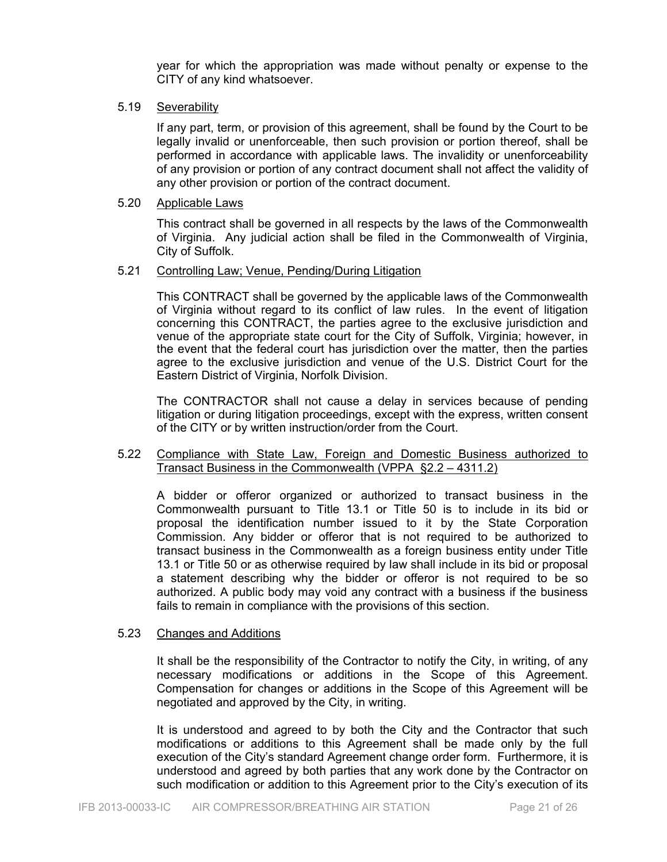year for which the appropriation was made without penalty or expense to the CITY of any kind whatsoever.

#### 5.19 Severability

If any part, term, or provision of this agreement, shall be found by the Court to be legally invalid or unenforceable, then such provision or portion thereof, shall be performed in accordance with applicable laws. The invalidity or unenforceability of any provision or portion of any contract document shall not affect the validity of any other provision or portion of the contract document.

#### 5.20 Applicable Laws

This contract shall be governed in all respects by the laws of the Commonwealth of Virginia. Any judicial action shall be filed in the Commonwealth of Virginia, City of Suffolk.

#### 5.21 Controlling Law; Venue, Pending/During Litigation

 This CONTRACT shall be governed by the applicable laws of the Commonwealth of Virginia without regard to its conflict of law rules. In the event of litigation concerning this CONTRACT, the parties agree to the exclusive jurisdiction and venue of the appropriate state court for the City of Suffolk, Virginia; however, in the event that the federal court has jurisdiction over the matter, then the parties agree to the exclusive jurisdiction and venue of the U.S. District Court for the Eastern District of Virginia, Norfolk Division.

 The CONTRACTOR shall not cause a delay in services because of pending litigation or during litigation proceedings, except with the express, written consent of the CITY or by written instruction/order from the Court.

#### 5.22 Compliance with State Law, Foreign and Domestic Business authorized to Transact Business in the Commonwealth (VPPA §2.2 – 4311.2)

A bidder or offeror organized or authorized to transact business in the Commonwealth pursuant to Title 13.1 or Title 50 is to include in its bid or proposal the identification number issued to it by the State Corporation Commission. Any bidder or offeror that is not required to be authorized to transact business in the Commonwealth as a foreign business entity under Title 13.1 or Title 50 or as otherwise required by law shall include in its bid or proposal a statement describing why the bidder or offeror is not required to be so authorized. A public body may void any contract with a business if the business fails to remain in compliance with the provisions of this section.

#### 5.23 Changes and Additions

It shall be the responsibility of the Contractor to notify the City, in writing, of any necessary modifications or additions in the Scope of this Agreement. Compensation for changes or additions in the Scope of this Agreement will be negotiated and approved by the City, in writing.

It is understood and agreed to by both the City and the Contractor that such modifications or additions to this Agreement shall be made only by the full execution of the City's standard Agreement change order form. Furthermore, it is understood and agreed by both parties that any work done by the Contractor on such modification or addition to this Agreement prior to the City's execution of its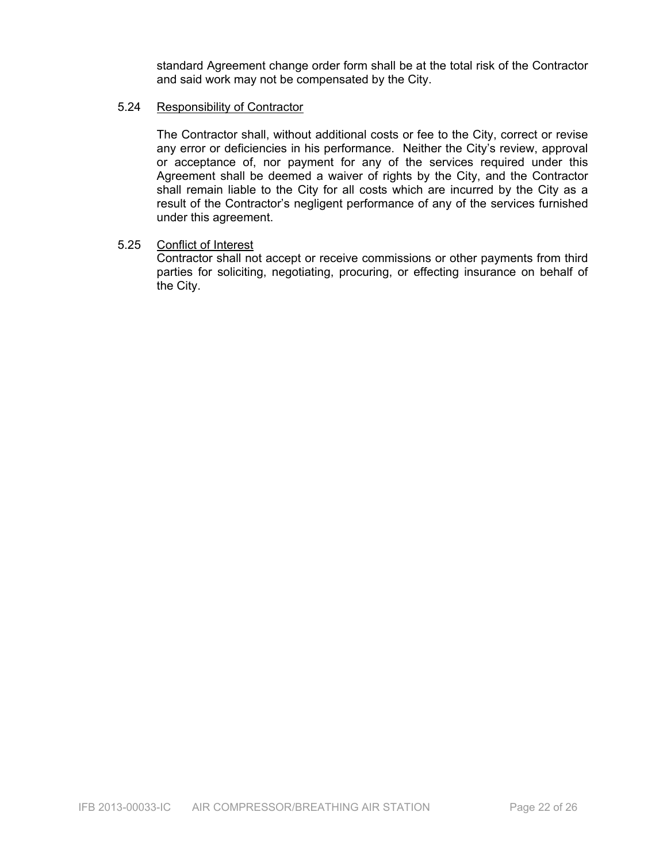standard Agreement change order form shall be at the total risk of the Contractor and said work may not be compensated by the City.

#### 5.24 Responsibility of Contractor

The Contractor shall, without additional costs or fee to the City, correct or revise any error or deficiencies in his performance. Neither the City's review, approval or acceptance of, nor payment for any of the services required under this Agreement shall be deemed a waiver of rights by the City, and the Contractor shall remain liable to the City for all costs which are incurred by the City as a result of the Contractor's negligent performance of any of the services furnished under this agreement.

#### 5.25 Conflict of Interest

Contractor shall not accept or receive commissions or other payments from third parties for soliciting, negotiating, procuring, or effecting insurance on behalf of the City.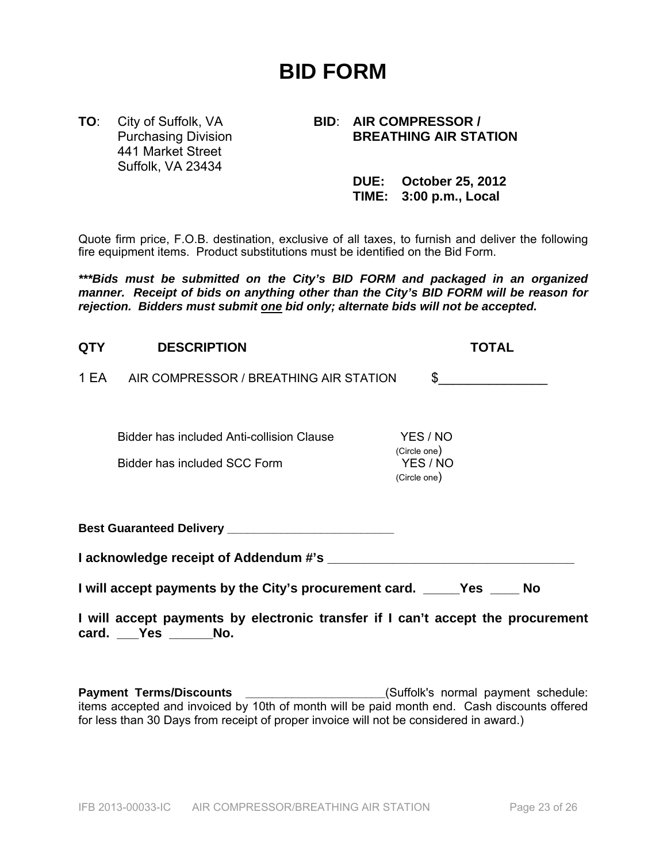# **BID FORM**

441 Market Street Suffolk, VA 23434

#### **TO**: City of Suffolk, VA **BID**: **AIR COMPRESSOR / Purchasing Division BREATHING AIR STATION**

| <b>DUE: October 25, 2012</b> |
|------------------------------|
| TIME: 3:00 p.m., Local       |

Quote firm price, F.O.B. destination, exclusive of all taxes, to furnish and deliver the following fire equipment items. Product substitutions must be identified on the Bid Form.

*\*\*\*Bids must be submitted on the City's BID FORM and packaged in an organized manner. Receipt of bids on anything other than the City's BID FORM will be reason for rejection. Bidders must submit one bid only; alternate bids will not be accepted.* 

| <b>QTY</b>                                                               | <b>DESCRIPTION</b>                                                               | TOTAL                                                |  |  |  |
|--------------------------------------------------------------------------|----------------------------------------------------------------------------------|------------------------------------------------------|--|--|--|
|                                                                          | 1 EA AIR COMPRESSOR / BREATHING AIR STATION                                      | $\sim$                                               |  |  |  |
|                                                                          | <b>Bidder has included Anti-collision Clause</b><br>Bidder has included SCC Form | YES / NO<br>(Circle one)<br>YES / NO<br>(Circle one) |  |  |  |
|                                                                          |                                                                                  |                                                      |  |  |  |
|                                                                          |                                                                                  |                                                      |  |  |  |
| I will accept payments by the City's procurement card. _____Yes _____ No |                                                                                  |                                                      |  |  |  |
|                                                                          | I will accept payments by electronic transfer if I can't accept the procurement  |                                                      |  |  |  |

**card. \_\_\_Yes \_\_\_\_\_\_No.** 

Payment Terms/Discounts \_\_\_\_\_\_\_\_\_\_\_\_\_\_\_\_\_\_\_\_\_\_\_(Suffolk's normal payment schedule: items accepted and invoiced by 10th of month will be paid month end. Cash discounts offered for less than 30 Days from receipt of proper invoice will not be considered in award.)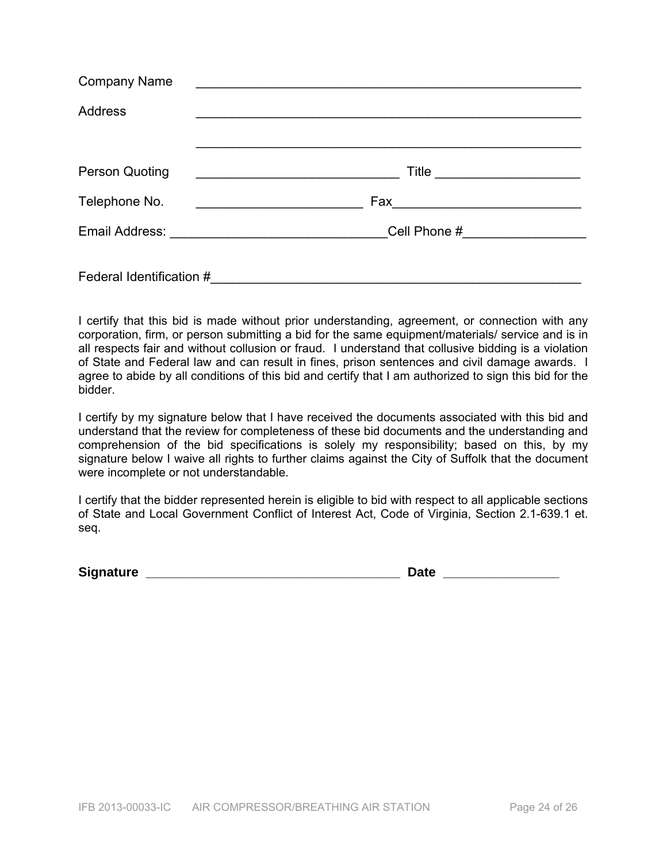| <b>Company Name</b>      |                               |  |  |  |  |
|--------------------------|-------------------------------|--|--|--|--|
| <b>Address</b>           |                               |  |  |  |  |
|                          |                               |  |  |  |  |
| Person Quoting           | Title _______________________ |  |  |  |  |
| Telephone No.            |                               |  |  |  |  |
|                          |                               |  |  |  |  |
| Federal Identification # |                               |  |  |  |  |

I certify that this bid is made without prior understanding, agreement, or connection with any corporation, firm, or person submitting a bid for the same equipment/materials/ service and is in all respects fair and without collusion or fraud. I understand that collusive bidding is a violation of State and Federal law and can result in fines, prison sentences and civil damage awards. I agree to abide by all conditions of this bid and certify that I am authorized to sign this bid for the bidder.

I certify by my signature below that I have received the documents associated with this bid and understand that the review for completeness of these bid documents and the understanding and comprehension of the bid specifications is solely my responsibility; based on this, by my signature below I waive all rights to further claims against the City of Suffolk that the document were incomplete or not understandable.

I certify that the bidder represented herein is eligible to bid with respect to all applicable sections of State and Local Government Conflict of Interest Act, Code of Virginia, Section 2.1-639.1 et. seq.

**Signature \_\_\_\_\_\_\_\_\_\_\_\_\_\_\_\_\_\_\_\_\_\_\_\_\_\_\_\_\_\_\_\_\_\_\_ Date \_\_\_\_\_\_\_\_\_\_\_\_\_\_\_\_**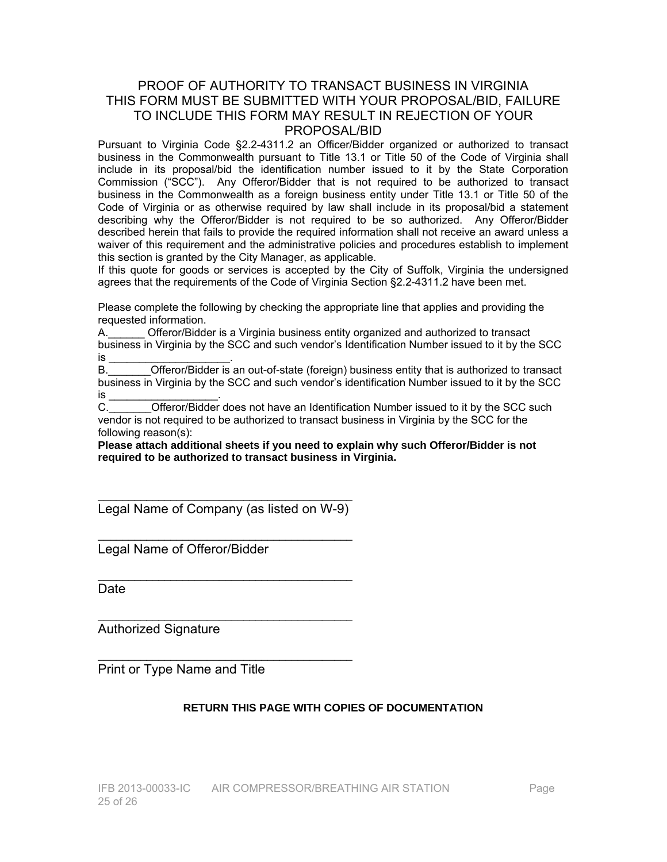#### PROOF OF AUTHORITY TO TRANSACT BUSINESS IN VIRGINIA THIS FORM MUST BE SUBMITTED WITH YOUR PROPOSAL/BID, FAILURE TO INCLUDE THIS FORM MAY RESULT IN REJECTION OF YOUR PROPOSAL/BID

Pursuant to Virginia Code §2.2-4311.2 an Officer/Bidder organized or authorized to transact business in the Commonwealth pursuant to Title 13.1 or Title 50 of the Code of Virginia shall include in its proposal/bid the identification number issued to it by the State Corporation Commission ("SCC"). Any Offeror/Bidder that is not required to be authorized to transact business in the Commonwealth as a foreign business entity under Title 13.1 or Title 50 of the Code of Virginia or as otherwise required by law shall include in its proposal/bid a statement describing why the Offeror/Bidder is not required to be so authorized. Any Offeror/Bidder described herein that fails to provide the required information shall not receive an award unless a waiver of this requirement and the administrative policies and procedures establish to implement this section is granted by the City Manager, as applicable.

If this quote for goods or services is accepted by the City of Suffolk, Virginia the undersigned agrees that the requirements of the Code of Virginia Section §2.2-4311.2 have been met.

Please complete the following by checking the appropriate line that applies and providing the requested information.

A.\_\_\_\_\_\_ Offeror/Bidder is a Virginia business entity organized and authorized to transact business in Virginia by the SCC and such vendor's Identification Number issued to it by the SCC is \_\_\_\_\_\_\_\_\_\_\_\_\_\_\_\_\_\_\_\_\_\_\_\_\_\_\_\_\_\_\_\_.

B.\_\_\_\_\_\_\_Offeror/Bidder is an out-of-state (foreign) business entity that is authorized to transact business in Virginia by the SCC and such vendor's identification Number issued to it by the SCC is \_\_\_\_\_\_\_\_\_\_\_\_\_\_\_\_\_\_\_\_\_\_\_.

C.\_\_\_\_\_\_\_Offeror/Bidder does not have an Identification Number issued to it by the SCC such vendor is not required to be authorized to transact business in Virginia by the SCC for the following reason(s):

**Please attach additional sheets if you need to explain why such Offeror/Bidder is not required to be authorized to transact business in Virginia.** 

\_\_\_\_\_\_\_\_\_\_\_\_\_\_\_\_\_\_\_\_\_\_\_\_\_\_\_\_\_\_\_\_\_\_\_\_\_\_\_\_\_\_ Legal Name of Company (as listed on W-9)

\_\_\_\_\_\_\_\_\_\_\_\_\_\_\_\_\_\_\_\_\_\_\_\_\_\_\_\_\_\_\_\_\_\_\_\_\_\_\_\_\_\_

 $\overline{\phantom{a}}$  , and the set of the set of the set of the set of the set of the set of the set of the set of the set of the set of the set of the set of the set of the set of the set of the set of the set of the set of the s

 $\overline{\phantom{a}}$  , and the set of the set of the set of the set of the set of the set of the set of the set of the set of the set of the set of the set of the set of the set of the set of the set of the set of the set of the s

 $\overline{\phantom{a}}$  , and the set of the set of the set of the set of the set of the set of the set of the set of the set of the set of the set of the set of the set of the set of the set of the set of the set of the set of the s

Legal Name of Offeror/Bidder

**Date** 

Authorized Signature

Print or Type Name and Title

#### **RETURN THIS PAGE WITH COPIES OF DOCUMENTATION**